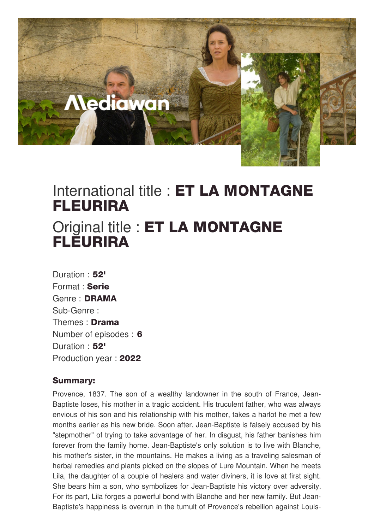

## International title : ET LA MONTAGNE FLEURIRA

## Original title : ET LA MONTAGNE **FLEURIRA**

Duration : 52' Format : Serie Genre : DRAMA Sub-Genre : Themes : Drama Number of episodes : 6 Duration: 52' Production year : 2022

## Summary:

Provence, 1837. The son of a wealthy landowner in the south of France, Jean-Baptiste loses, his mother in a tragic accident. His truculent father, who was always envious of his son and his relationship with his mother, takes a harlot he met a few months earlier as his new bride. Soon after, Jean-Baptiste is falsely accused by his "stepmother" of trying to take advantage of her. In disgust, his father banishes him forever from the family home. Jean-Baptiste's only solution is to live with Blanche, his mother's sister, in the mountains. He makes a living as a traveling salesman of herbal remedies and plants picked on the slopes of Lure Mountain. When he meets Lila, the daughter of a couple of healers and water diviners, it is love at first sight. She bears him a son, who symbolizes for Jean-Baptiste his victory over adversity. For its part, Lila forges a powerful bond with Blanche and her new family. But Jean-Baptiste's happiness is overrun in the tumult of Provence's rebellion against Louis